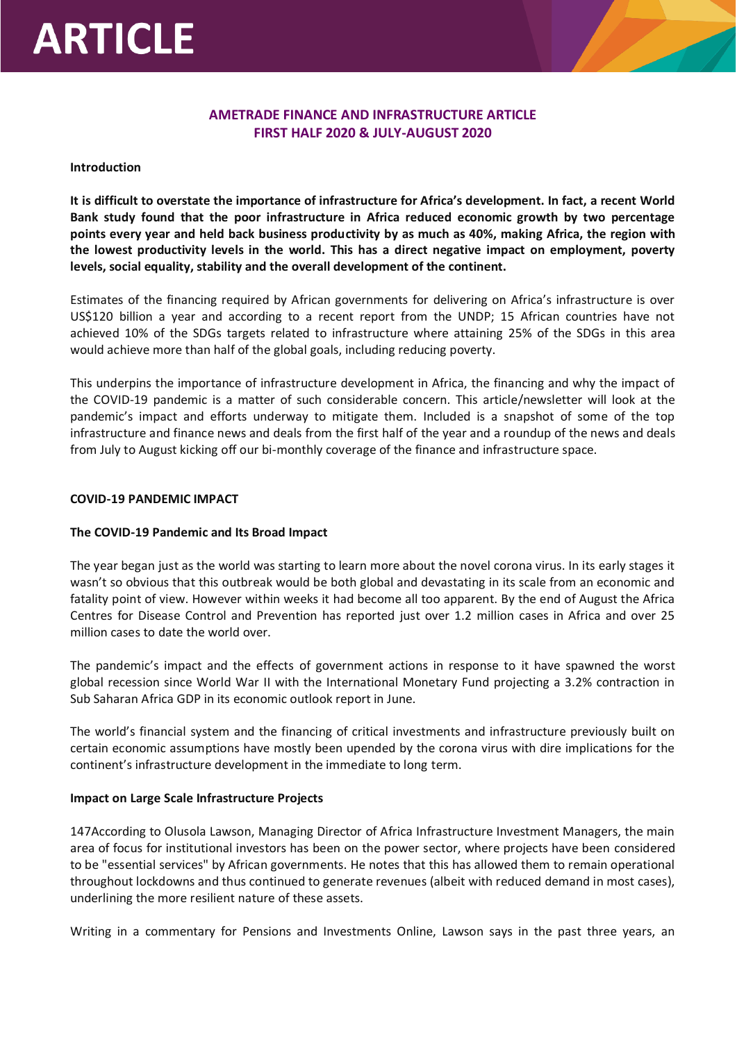# **ARTICLE**

# **AMETRADE FINANCE AND INFRASTRUCTURE ARTICLE FIRST HALF 2020 & JULY-AUGUST 2020**

#### **Introduction**

**It is difficult to overstate the importance of infrastructure for Africa's development. In fact, a recent World Bank study found that the poor infrastructure in Africa reduced economic growth by two percentage points every year and held back business productivity by as much as 40%, making Africa, the region with the lowest productivity levels in the world. This has a direct negative impact on employment, poverty levels, social equality, stability and the overall development of the continent.**

Estimates of the financing required by African governments for delivering on Africa's infrastructure is over US\$120 billion a year and according to a recent report from the UNDP; 15 African countries have not achieved 10% of the SDGs targets related to infrastructure where attaining 25% of the SDGs in this area would achieve more than half of the global goals, including reducing poverty.

This underpins the importance of infrastructure development in Africa, the financing and why the impact of the COVID-19 pandemic is a matter of such considerable concern. This article/newsletter will look at the pandemic's impact and efforts underway to mitigate them. Included is a snapshot of some of the top infrastructure and finance news and deals from the first half of the year and a roundup of the news and deals from July to August kicking off our bi-monthly coverage of the finance and infrastructure space.

#### **COVID-19 PANDEMIC IMPACT**

#### **The COVID-19 Pandemic and Its Broad Impact**

The year began just as the world was starting to learn more about the novel corona virus. In its early stages it wasn't so obvious that this outbreak would be both global and devastating in its scale from an economic and fatality point of view. However within weeks it had become all too apparent. By the end of August the Africa Centres for Disease Control and Prevention has reported just over 1.2 million cases in Africa and over 25 million cases to date the world over.

The pandemic's impact and the effects of government actions in response to it have spawned the worst global recession since World War II with the International Monetary Fund projecting a 3.2% contraction in Sub Saharan Africa GDP in its economic outlook report in June.

The world's financial system and the financing of critical investments and infrastructure previously built on certain economic assumptions have mostly been upended by the corona virus with dire implications for the continent's infrastructure development in the immediate to long term.

#### **Impact on Large Scale Infrastructure Projects**

147According to Olusola Lawson, Managing Director of Africa Infrastructure Investment Managers, the main area of focus for institutional investors has been on the power sector, where projects have been considered to be "essential services" by African governments. He notes that this has allowed them to remain operational throughout lockdowns and thus continued to generate revenues (albeit with reduced demand in most cases), underlining the more resilient nature of these assets.

Writing in a commentary for Pensions and Investments Online, Lawson says in the past three years, an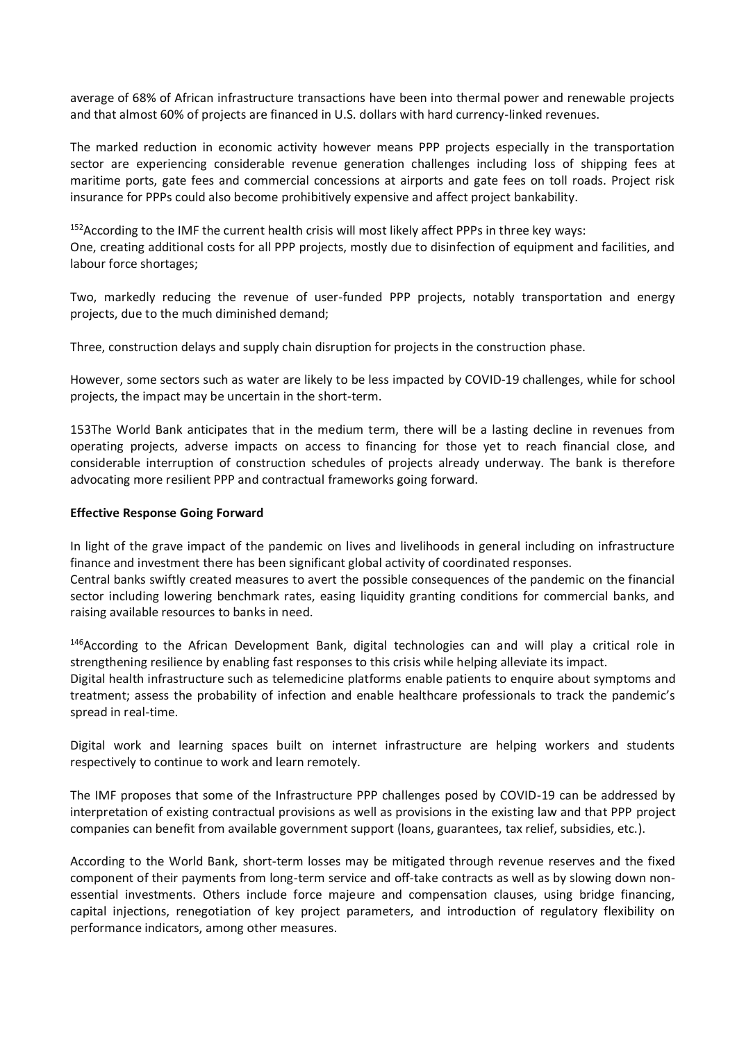average of 68% of African infrastructure transactions have been into thermal power and renewable projects and that almost 60% of projects are financed in U.S. dollars with hard currency-linked revenues.

The marked reduction in economic activity however means PPP projects especially in the transportation sector are experiencing considerable revenue generation challenges including loss of shipping fees at maritime ports, gate fees and commercial concessions at airports and gate fees on toll roads. Project risk insurance for PPPs could also become prohibitively expensive and affect project bankability.

<sup>152</sup> According to the IMF the current health crisis will most likely affect PPPs in three key ways: One, creating additional costs for all PPP projects, mostly due to disinfection of equipment and facilities, and labour force shortages;

Two, markedly reducing the revenue of user-funded PPP projects, notably transportation and energy projects, due to the much diminished demand;

Three, construction delays and supply chain disruption for projects in the construction phase.

However, some sectors such as water are likely to be less impacted by COVID-19 challenges, while for school projects, the impact may be uncertain in the short-term.

153The World Bank anticipates that in the medium term, there will be a lasting decline in revenues from operating projects, adverse impacts on access to financing for those yet to reach financial close, and considerable interruption of construction schedules of projects already underway. The bank is therefore advocating more resilient PPP and contractual frameworks going forward.

#### **Effective Response Going Forward**

In light of the grave impact of the pandemic on lives and livelihoods in general including on infrastructure finance and investment there has been significant global activity of coordinated responses.

Central banks swiftly created measures to avert the possible consequences of the pandemic on the financial sector including lowering benchmark rates, easing liquidity granting conditions for commercial banks, and raising available resources to banks in need.

<sup>146</sup>According to the African Development Bank, digital technologies can and will play a critical role in strengthening resilience by enabling fast responses to this crisis while helping alleviate its impact.

Digital health infrastructure such as telemedicine platforms enable patients to enquire about symptoms and treatment; assess the probability of infection and enable healthcare professionals to track the pandemic's spread in real-time.

Digital work and learning spaces built on internet infrastructure are helping workers and students respectively to continue to work and learn remotely.

The IMF proposes that some of the Infrastructure PPP challenges posed by COVID-19 can be addressed by interpretation of existing contractual provisions as well as provisions in the existing law and that PPP project companies can benefit from available government support (loans, guarantees, tax relief, subsidies, etc.).

According to the World Bank, short-term losses may be mitigated through revenue reserves and the fixed component of their payments from long-term service and off-take contracts as well as by slowing down nonessential investments. Others include force majeure and compensation clauses, using bridge financing, capital injections, renegotiation of key project parameters, and introduction of regulatory flexibility on performance indicators, among other measures.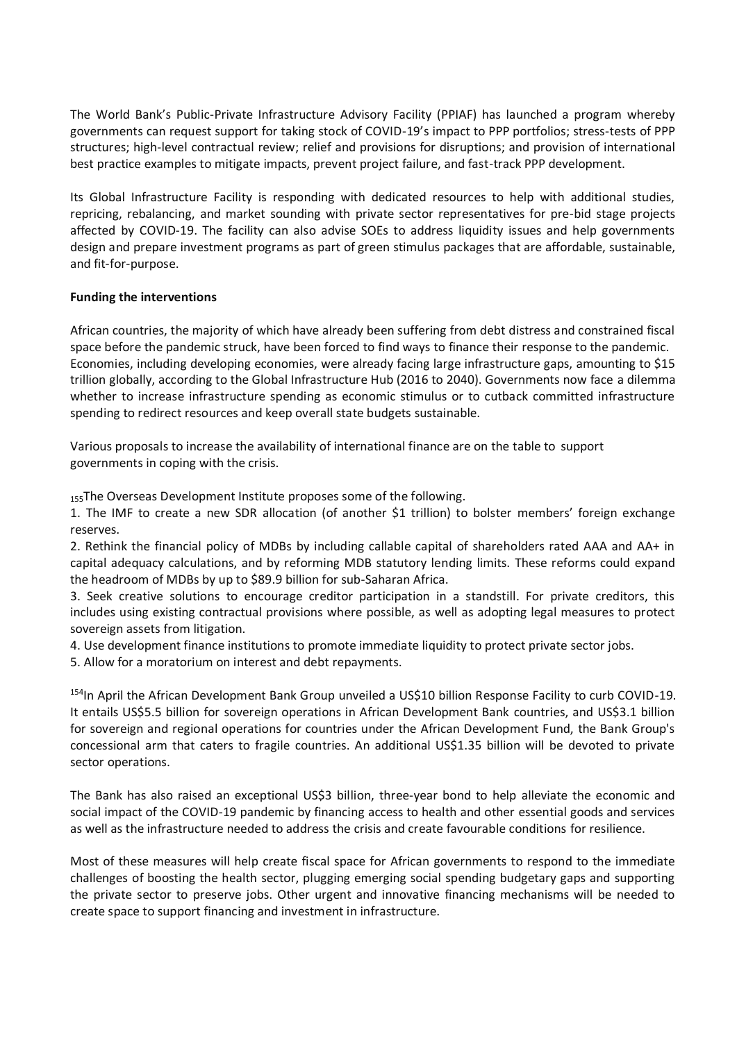The World Bank's Public-Private Infrastructure Advisory Facility (PPIAF) has launched a program whereby governments can request support for taking stock of COVID-19's impact to PPP portfolios; stress-tests of PPP structures; high-level contractual review; relief and provisions for disruptions; and provision of international best practice examples to mitigate impacts, prevent project failure, and fast-track PPP development.

Its Global Infrastructure Facility is responding with dedicated resources to help with additional studies, repricing, rebalancing, and market sounding with private sector representatives for pre-bid stage projects affected by COVID-19. The facility can also advise SOEs to address liquidity issues and help governments design and prepare investment programs as part of green stimulus packages that are affordable, sustainable, and fit-for-purpose.

#### **Funding the interventions**

African countries, the majority of which have already been suffering from debt distress and constrained fiscal space before the pandemic struck, have been forced to find ways to finance their response to the pandemic. Economies, including developing economies, were already facing large infrastructure gaps, amounting to \$15 trillion globally, according to the Global Infrastructure Hub (2016 to 2040). Governments now face a dilemma whether to increase infrastructure spending as economic stimulus or to cutback committed infrastructure spending to redirect resources and keep overall state budgets sustainable.

Various proposals to increase the availability of international finance are on the table to support governments in coping with the crisis.

155The Overseas Development Institute proposes some of the following.

1. The IMF to create a new SDR allocation (of another \$1 trillion) to bolster members' foreign exchange reserves.

2. Rethink the financial policy of MDBs by including callable capital of shareholders rated AAA and AA+ in capital adequacy calculations, and by reforming MDB statutory lending limits. These reforms could expand the headroom of MDBs by up to \$89.9 billion for sub-Saharan Africa.

3. Seek creative solutions to encourage creditor participation in a standstill. For private creditors, this includes using existing contractual provisions where possible, as well as adopting legal measures to protect sovereign assets from litigation.

4. Use development finance institutions to promote immediate liquidity to protect private sector jobs.

5. Allow for a moratorium on interest and debt repayments.

<sup>154</sup>In April the African Development Bank Group unveiled a US\$10 billion Response Facility to curb COVID-19. It entails US\$5.5 billion for sovereign operations in African Development Bank countries, and US\$3.1 billion for sovereign and regional operations for countries under the African Development Fund, the Bank Group's concessional arm that caters to fragile countries. An additional US\$1.35 billion will be devoted to private sector operations.

The Bank has also raised an exceptional US\$3 billion, three-year bond to help alleviate the economic and social impact of the COVID-19 pandemic by financing access to health and other essential goods and services as well as the infrastructure needed to address the crisis and create favourable conditions for resilience.

Most of these measures will help create fiscal space for African governments to respond to the immediate challenges of boosting the health sector, plugging emerging social spending budgetary gaps and supporting the private sector to preserve jobs. Other urgent and innovative financing mechanisms will be needed to create space to support financing and investment in infrastructure.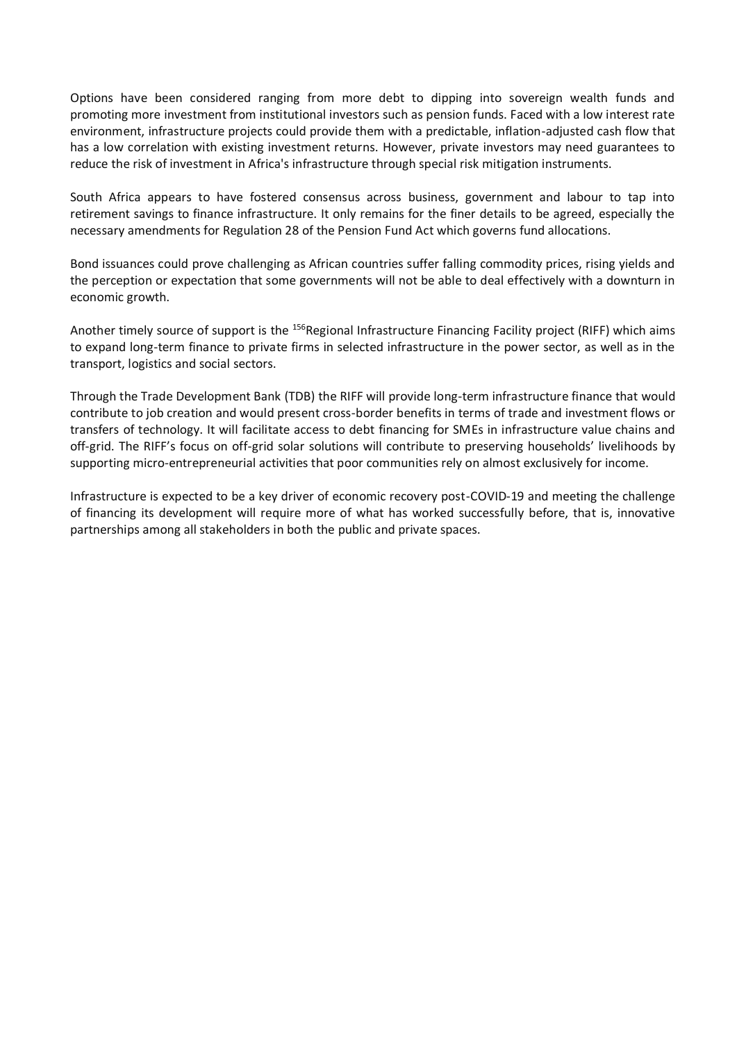Options have been considered ranging from more debt to dipping into sovereign wealth funds and promoting more investment from institutional investors such as pension funds. Faced with a low interest rate environment, infrastructure projects could provide them with a predictable, inflation-adjusted cash flow that has a low correlation with existing investment returns. However, private investors may need guarantees to reduce the risk of investment in Africa's infrastructure through special risk mitigation instruments.

South Africa appears to have fostered consensus across business, government and labour to tap into retirement savings to finance infrastructure. It only remains for the finer details to be agreed, especially the necessary amendments for Regulation 28 of the Pension Fund Act which governs fund allocations.

Bond issuances could prove challenging as African countries suffer falling commodity prices, rising yields and the perception or expectation that some governments will not be able to deal effectively with a downturn in economic growth.

Another timely source of support is the <sup>156</sup>Regional Infrastructure Financing Facility project (RIFF) which aims to expand long-term finance to private firms in selected infrastructure in the power sector, as well as in the transport, logistics and social sectors.

Through the Trade Development Bank (TDB) the RIFF will provide long-term infrastructure finance that would contribute to job creation and would present cross-border benefits in terms of trade and investment flows or transfers of technology. It will facilitate access to debt financing for SMEs in infrastructure value chains and off-grid. The RIFF's focus on off-grid solar solutions will contribute to preserving households' livelihoods by supporting micro-entrepreneurial activities that poor communities rely on almost exclusively for income.

Infrastructure is expected to be a key driver of economic recovery post-COVID-19 and meeting the challenge of financing its development will require more of what has worked successfully before, that is, innovative partnerships among all stakeholders in both the public and private spaces.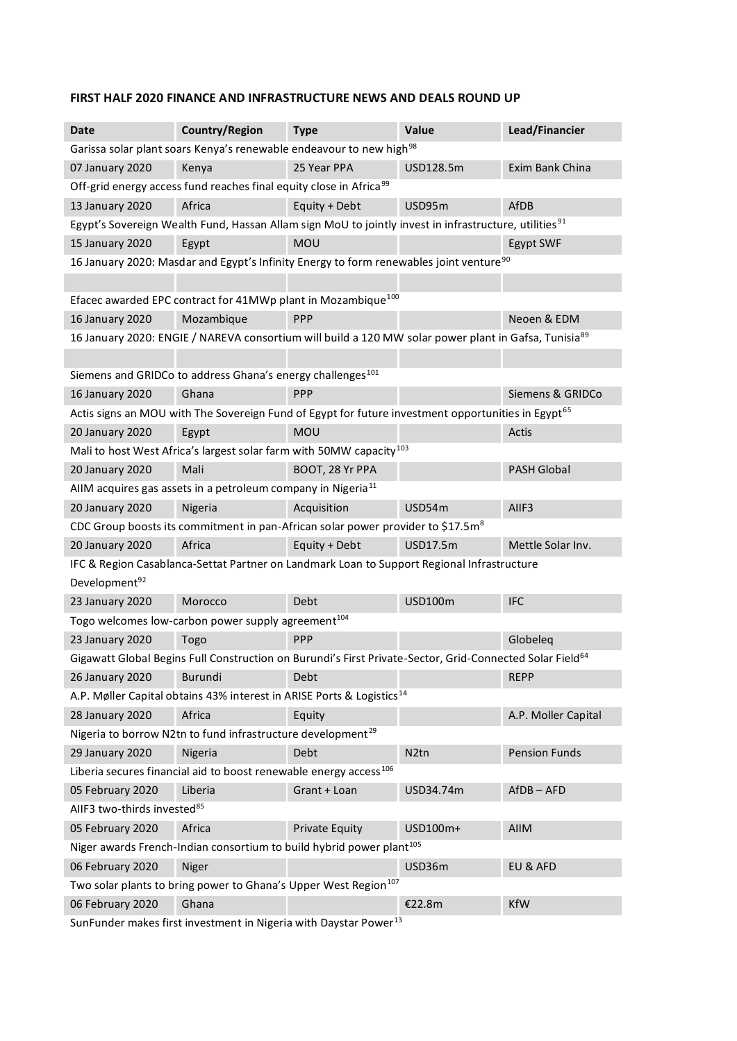### **FIRST HALF 2020 FINANCE AND INFRASTRUCTURE NEWS AND DEALS ROUND UP**

| <b>Date</b>                                                                                        | <b>Country/Region</b>                                                                                                | <b>Type</b>           | Value             | Lead/Financier       |
|----------------------------------------------------------------------------------------------------|----------------------------------------------------------------------------------------------------------------------|-----------------------|-------------------|----------------------|
| Garissa solar plant soars Kenya's renewable endeavour to new high <sup>98</sup>                    |                                                                                                                      |                       |                   |                      |
| 07 January 2020                                                                                    | Kenya                                                                                                                | 25 Year PPA           | USD128.5m         | Exim Bank China      |
|                                                                                                    | Off-grid energy access fund reaches final equity close in Africa <sup>99</sup>                                       |                       |                   |                      |
| 13 January 2020                                                                                    | Africa                                                                                                               | Equity + Debt         | USD95m            | AfDB                 |
|                                                                                                    | Egypt's Sovereign Wealth Fund, Hassan Allam sign MoU to jointly invest in infrastructure, utilities <sup>91</sup>    |                       |                   |                      |
| 15 January 2020                                                                                    | Egypt                                                                                                                | MOU                   |                   | Egypt SWF            |
| 16 January 2020: Masdar and Egypt's Infinity Energy to form renewables joint venture <sup>90</sup> |                                                                                                                      |                       |                   |                      |
|                                                                                                    |                                                                                                                      |                       |                   |                      |
|                                                                                                    | Efacec awarded EPC contract for 41MWp plant in Mozambique <sup>100</sup>                                             |                       |                   |                      |
| 16 January 2020                                                                                    | Mozambique                                                                                                           | <b>PPP</b>            |                   | Neoen & EDM          |
|                                                                                                    | 16 January 2020: ENGIE / NAREVA consortium will build a 120 MW solar power plant in Gafsa, Tunisia <sup>89</sup>     |                       |                   |                      |
|                                                                                                    |                                                                                                                      |                       |                   |                      |
|                                                                                                    | Siemens and GRIDCo to address Ghana's energy challenges <sup>101</sup>                                               |                       |                   |                      |
| <b>16 January 2020</b>                                                                             | Ghana                                                                                                                | <b>PPP</b>            |                   | Siemens & GRIDCo     |
|                                                                                                    | Actis signs an MOU with The Sovereign Fund of Egypt for future investment opportunities in Egypt <sup>65</sup>       |                       |                   |                      |
| 20 January 2020                                                                                    | Egypt                                                                                                                | <b>MOU</b>            |                   | Actis                |
|                                                                                                    | Mali to host West Africa's largest solar farm with 50MW capacity <sup>103</sup>                                      |                       |                   |                      |
| 20 January 2020                                                                                    | Mali                                                                                                                 | BOOT, 28 Yr PPA       |                   | <b>PASH Global</b>   |
|                                                                                                    | AIIM acquires gas assets in a petroleum company in Nigeria <sup>11</sup>                                             |                       |                   |                      |
| 20 January 2020                                                                                    | Nigeria                                                                                                              | Acquisition           | USD54m            | AIIF3                |
|                                                                                                    | CDC Group boosts its commitment in pan-African solar power provider to \$17.5m <sup>8</sup>                          |                       |                   |                      |
| 20 January 2020                                                                                    | Africa                                                                                                               | Equity + Debt         | USD17.5m          | Mettle Solar Inv.    |
|                                                                                                    | IFC & Region Casablanca-Settat Partner on Landmark Loan to Support Regional Infrastructure                           |                       |                   |                      |
| Development <sup>92</sup>                                                                          |                                                                                                                      |                       |                   |                      |
| 23 January 2020                                                                                    | Morocco                                                                                                              | Debt                  | <b>USD100m</b>    | <b>IFC</b>           |
|                                                                                                    | Togo welcomes low-carbon power supply agreement <sup>104</sup>                                                       |                       |                   |                      |
| 23 January 2020                                                                                    | Togo                                                                                                                 | <b>PPP</b>            |                   | Globeleg             |
|                                                                                                    | Gigawatt Global Begins Full Construction on Burundi's First Private-Sector, Grid-Connected Solar Field <sup>64</sup> |                       |                   |                      |
| 26 January 2020                                                                                    | Burundi                                                                                                              | Debt                  |                   | <b>REPP</b>          |
|                                                                                                    | A.P. Møller Capital obtains 43% interest in ARISE Ports & Logistics <sup>14</sup>                                    |                       |                   |                      |
| 28 January 2020                                                                                    | Africa                                                                                                               | Equity                |                   | A.P. Moller Capital  |
|                                                                                                    | Nigeria to borrow N2tn to fund infrastructure development <sup>29</sup>                                              |                       |                   |                      |
| 29 January 2020                                                                                    | Nigeria                                                                                                              | Debt                  | N <sub>2</sub> tn | <b>Pension Funds</b> |
|                                                                                                    | Liberia secures financial aid to boost renewable energy access <sup>106</sup>                                        |                       |                   |                      |
| 05 February 2020                                                                                   | Liberia                                                                                                              | Grant + Loan          | USD34.74m         | $AfDB - AFD$         |
| AIIF3 two-thirds invested <sup>85</sup>                                                            |                                                                                                                      |                       |                   |                      |
| 05 February 2020                                                                                   | Africa                                                                                                               | <b>Private Equity</b> | USD100m+          | <b>AIIM</b>          |
|                                                                                                    | Niger awards French-Indian consortium to build hybrid power plant <sup>105</sup>                                     |                       |                   |                      |
| 06 February 2020                                                                                   | Niger                                                                                                                |                       | USD36m            | EU & AFD             |
|                                                                                                    | Two solar plants to bring power to Ghana's Upper West Region <sup>107</sup>                                          |                       |                   |                      |
| 06 February 2020                                                                                   | Ghana                                                                                                                |                       | €22.8m            | <b>KfW</b>           |
|                                                                                                    |                                                                                                                      |                       |                   |                      |

SunFunder makes first investment in Nigeria with Daystar Power $^{13}$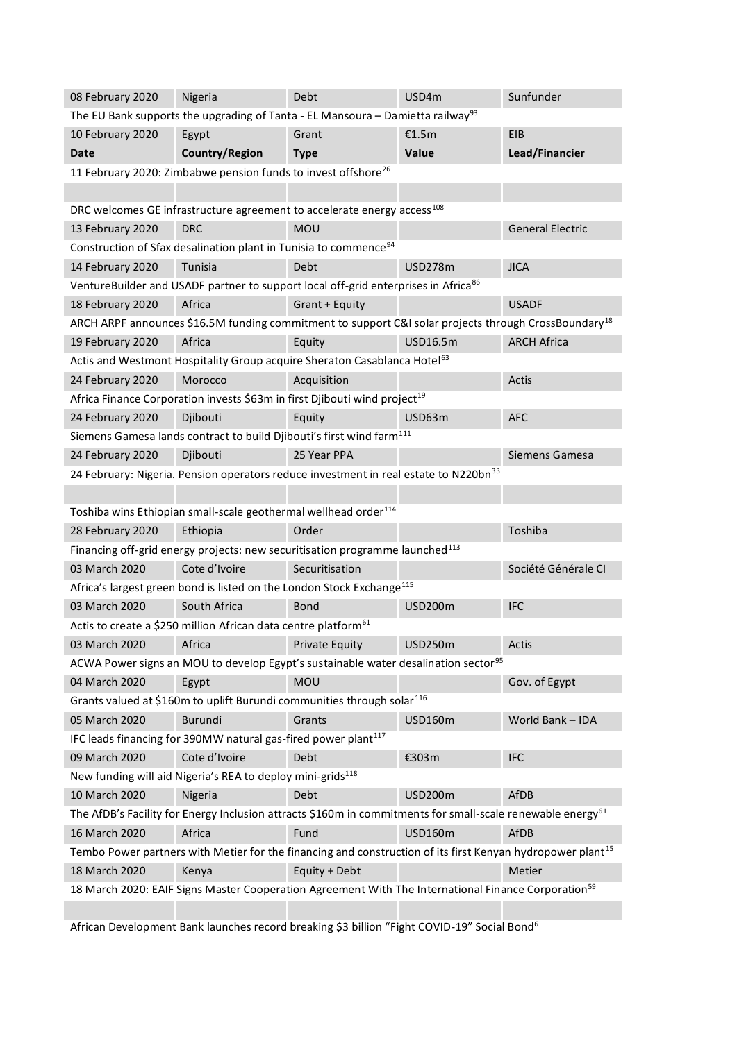| 08 February 2020                                                           | Nigeria                                                                      | Debt                                                                                                                   | USD4m          | Sunfunder               |
|----------------------------------------------------------------------------|------------------------------------------------------------------------------|------------------------------------------------------------------------------------------------------------------------|----------------|-------------------------|
|                                                                            |                                                                              | The EU Bank supports the upgrading of Tanta - EL Mansoura – Damietta railway <sup>93</sup>                             |                |                         |
| 10 February 2020                                                           | Egypt                                                                        | Grant                                                                                                                  | €1.5m          | <b>EIB</b>              |
| <b>Date</b>                                                                | <b>Country/Region</b>                                                        | <b>Type</b>                                                                                                            | Value          | Lead/Financier          |
|                                                                            | 11 February 2020: Zimbabwe pension funds to invest offshore <sup>26</sup>    |                                                                                                                        |                |                         |
|                                                                            |                                                                              |                                                                                                                        |                |                         |
|                                                                            |                                                                              | DRC welcomes GE infrastructure agreement to accelerate energy access <sup>108</sup>                                    |                |                         |
| 13 February 2020                                                           | <b>DRC</b>                                                                   | <b>MOU</b>                                                                                                             |                | <b>General Electric</b> |
|                                                                            | Construction of Sfax desalination plant in Tunisia to commence <sup>94</sup> |                                                                                                                        |                |                         |
| 14 February 2020                                                           | Tunisia                                                                      | Debt                                                                                                                   | <b>USD278m</b> | <b>JICA</b>             |
|                                                                            |                                                                              | VentureBuilder and USADF partner to support local off-grid enterprises in Africa <sup>86</sup>                         |                |                         |
| 18 February 2020                                                           | Africa                                                                       | Grant + Equity                                                                                                         |                | <b>USADF</b>            |
|                                                                            |                                                                              | ARCH ARPF announces \$16.5M funding commitment to support C&I solar projects through CrossBoundary <sup>18</sup>       |                |                         |
| 19 February 2020                                                           | Africa                                                                       | Equity                                                                                                                 | USD16.5m       | <b>ARCH Africa</b>      |
|                                                                            |                                                                              | Actis and Westmont Hospitality Group acquire Sheraton Casablanca Hotel <sup>63</sup>                                   |                |                         |
| 24 February 2020                                                           | Morocco                                                                      | Acquisition                                                                                                            |                | Actis                   |
|                                                                            |                                                                              | Africa Finance Corporation invests \$63m in first Djibouti wind project <sup>19</sup>                                  |                |                         |
| 24 February 2020                                                           | Djibouti                                                                     | Equity                                                                                                                 | USD63m         | <b>AFC</b>              |
|                                                                            |                                                                              | Siemens Gamesa lands contract to build Djibouti's first wind farm <sup>111</sup>                                       |                |                         |
| 24 February 2020                                                           | Djibouti                                                                     | 25 Year PPA                                                                                                            |                | Siemens Gamesa          |
|                                                                            |                                                                              | 24 February: Nigeria. Pension operators reduce investment in real estate to N220bn <sup>33</sup>                       |                |                         |
|                                                                            |                                                                              |                                                                                                                        |                |                         |
|                                                                            | Toshiba wins Ethiopian small-scale geothermal wellhead order <sup>114</sup>  |                                                                                                                        |                |                         |
| 28 February 2020                                                           | Ethiopia                                                                     | Order                                                                                                                  |                | Toshiba                 |
|                                                                            |                                                                              | Financing off-grid energy projects: new securitisation programme launched <sup>113</sup>                               |                |                         |
| 03 March 2020                                                              | Cote d'Ivoire                                                                | Securitisation                                                                                                         |                | Société Générale CI     |
|                                                                            |                                                                              | Africa's largest green bond is listed on the London Stock Exchange <sup>115</sup>                                      |                |                         |
| 03 March 2020                                                              | South Africa                                                                 | <b>Bond</b>                                                                                                            | <b>USD200m</b> |                         |
| Actis to create a \$250 million African data centre platform <sup>61</sup> |                                                                              |                                                                                                                        |                | <b>IFC</b>              |
|                                                                            |                                                                              |                                                                                                                        |                |                         |
| 03 March 2020                                                              | Africa                                                                       | <b>Private Equity</b>                                                                                                  | <b>USD250m</b> | Actis                   |
|                                                                            |                                                                              | ACWA Power signs an MOU to develop Egypt's sustainable water desalination sector <sup>95</sup>                         |                |                         |
| 04 March 2020                                                              | Egypt                                                                        | <b>MOU</b>                                                                                                             |                | Gov. of Egypt           |
|                                                                            |                                                                              | Grants valued at \$160m to uplift Burundi communities through solar <sup>116</sup>                                     |                |                         |
| 05 March 2020                                                              | Burundi                                                                      | Grants                                                                                                                 | <b>USD160m</b> | World Bank - IDA        |
|                                                                            | IFC leads financing for 390MW natural gas-fired power plant <sup>117</sup>   |                                                                                                                        |                |                         |
| 09 March 2020                                                              | Cote d'Ivoire                                                                | Debt                                                                                                                   | €303m          | <b>IFC</b>              |
|                                                                            | New funding will aid Nigeria's REA to deploy mini-grids <sup>118</sup>       |                                                                                                                        |                |                         |
| 10 March 2020                                                              | Nigeria                                                                      | Debt                                                                                                                   | USD200m        | AfDB                    |
|                                                                            |                                                                              | The AfDB's Facility for Energy Inclusion attracts \$160m in commitments for small-scale renewable energy <sup>61</sup> |                |                         |
| 16 March 2020                                                              | Africa                                                                       | Fund                                                                                                                   | <b>USD160m</b> | AfDB                    |
|                                                                            |                                                                              | Tembo Power partners with Metier for the financing and construction of its first Kenyan hydropower plant <sup>15</sup> |                |                         |
| 18 March 2020                                                              | Kenya                                                                        | Equity + Debt                                                                                                          |                | Metier                  |
|                                                                            |                                                                              | 18 March 2020: EAIF Signs Master Cooperation Agreement With The International Finance Corporation <sup>59</sup>        |                |                         |

African Development Bank launches record breaking \$3 billion "Fight COVID-19" Social Bond6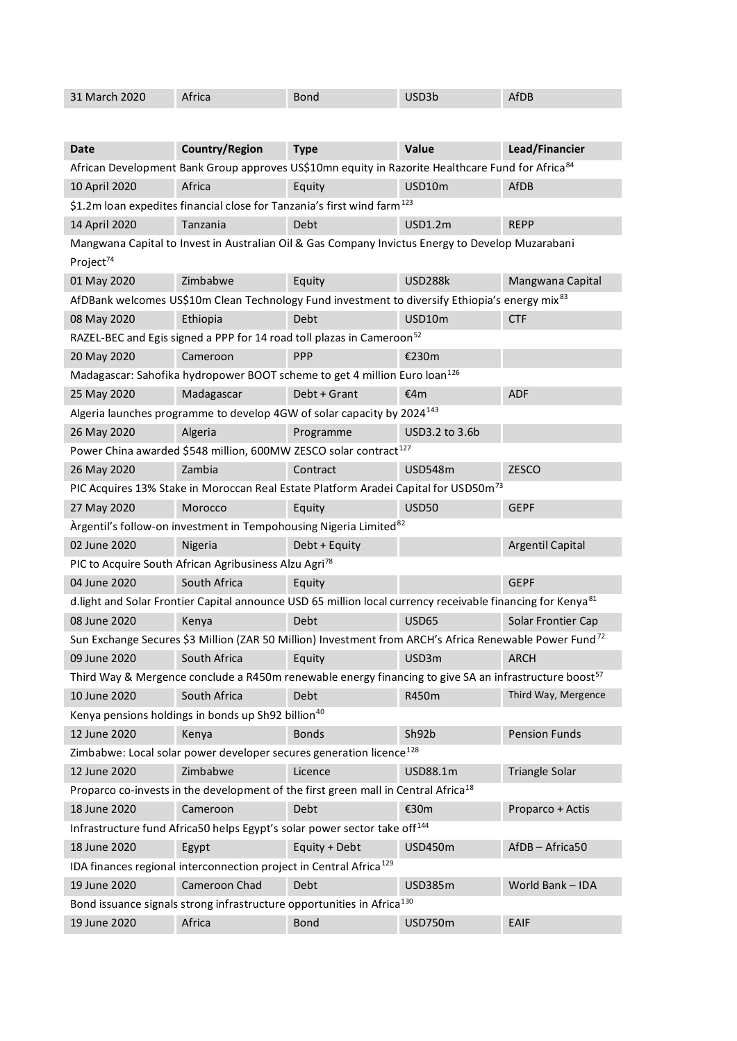| 31 March 2020                                                                      | Africa                                                                                                                 | <b>Bond</b>   | USD3b          | AfDB                    |
|------------------------------------------------------------------------------------|------------------------------------------------------------------------------------------------------------------------|---------------|----------------|-------------------------|
|                                                                                    |                                                                                                                        |               |                |                         |
| Date                                                                               | <b>Country/Region</b>                                                                                                  | <b>Type</b>   | Value          | Lead/Financier          |
|                                                                                    | African Development Bank Group approves US\$10mn equity in Razorite Healthcare Fund for Africa <sup>84</sup>           |               |                |                         |
| 10 April 2020                                                                      | Africa                                                                                                                 | Equity        | USD10m         | <b>AfDB</b>             |
|                                                                                    | \$1.2m loan expedites financial close for Tanzania's first wind farm <sup>123</sup>                                    |               |                |                         |
| 14 April 2020                                                                      | Tanzania                                                                                                               | Debt          | <b>USD1.2m</b> | <b>REPP</b>             |
| Project <sup>74</sup>                                                              | Mangwana Capital to Invest in Australian Oil & Gas Company Invictus Energy to Develop Muzarabani                       |               |                |                         |
| 01 May 2020                                                                        | Zimbabwe                                                                                                               | Equity        | <b>USD288k</b> | Mangwana Capital        |
|                                                                                    | AfDBank welcomes US\$10m Clean Technology Fund investment to diversify Ethiopia's energy mix <sup>83</sup>             |               |                |                         |
| 08 May 2020                                                                        | Ethiopia                                                                                                               | Debt          | USD10m         | <b>CTF</b>              |
|                                                                                    | RAZEL-BEC and Egis signed a PPP for 14 road toll plazas in Cameroon <sup>52</sup>                                      |               |                |                         |
| 20 May 2020                                                                        | Cameroon                                                                                                               | PPP           | €230m          |                         |
|                                                                                    | Madagascar: Sahofika hydropower BOOT scheme to get 4 million Euro loan <sup>126</sup>                                  |               |                |                         |
| 25 May 2020                                                                        | Madagascar                                                                                                             | Debt + Grant  | €4m            | <b>ADF</b>              |
|                                                                                    | Algeria launches programme to develop 4GW of solar capacity by 2024 <sup>143</sup>                                     |               |                |                         |
| 26 May 2020                                                                        | Algeria                                                                                                                | Programme     | USD3.2 to 3.6b |                         |
|                                                                                    | Power China awarded \$548 million, 600MW ZESCO solar contract <sup>127</sup>                                           |               |                |                         |
| 26 May 2020                                                                        | Zambia                                                                                                                 | Contract      | <b>USD548m</b> | <b>ZESCO</b>            |
|                                                                                    | PIC Acquires 13% Stake in Moroccan Real Estate Platform Aradei Capital for USD50m <sup>73</sup>                        |               |                |                         |
| 27 May 2020                                                                        | Morocco                                                                                                                | Equity        | <b>USD50</b>   | <b>GEPF</b>             |
|                                                                                    | Àrgentil's follow-on investment in Tempohousing Nigeria Limited <sup>82</sup>                                          |               |                |                         |
| 02 June 2020                                                                       | Nigeria                                                                                                                | Debt + Equity |                | <b>Argentil Capital</b> |
|                                                                                    | PIC to Acquire South African Agribusiness Alzu Agri <sup>78</sup>                                                      |               |                |                         |
| 04 June 2020                                                                       | South Africa                                                                                                           | Equity        |                | <b>GEPF</b>             |
|                                                                                    | d.light and Solar Frontier Capital announce USD 65 million local currency receivable financing for Kenya <sup>81</sup> |               |                |                         |
| 08 June 2020                                                                       | Kenya                                                                                                                  | <b>Debt</b>   | <b>USD65</b>   | Solar Frontier Cap      |
|                                                                                    | Sun Exchange Secures \$3 Million (ZAR 50 Million) Investment from ARCH's Africa Renewable Power Fund <sup>72</sup>     |               |                |                         |
| 09 June 2020                                                                       | South Africa                                                                                                           | Equity        | USD3m          | <b>ARCH</b>             |
|                                                                                    | Third Way & Mergence conclude a R450m renewable energy financing to give SA an infrastructure boost <sup>57</sup>      |               |                |                         |
| 10 June 2020                                                                       | South Africa                                                                                                           | Debt          | R450m          | Third Way, Mergence     |
|                                                                                    | Kenya pensions holdings in bonds up Sh92 billion <sup>40</sup>                                                         |               |                |                         |
| 12 June 2020                                                                       | Kenya                                                                                                                  | <b>Bonds</b>  | Sh92b          | <b>Pension Funds</b>    |
|                                                                                    | Zimbabwe: Local solar power developer secures generation licence <sup>128</sup>                                        |               |                |                         |
| 12 June 2020                                                                       | Zimbabwe                                                                                                               | Licence       | USD88.1m       | Triangle Solar          |
|                                                                                    | Proparco co-invests in the development of the first green mall in Central Africa <sup>18</sup>                         |               |                |                         |
| 18 June 2020                                                                       | Cameroon                                                                                                               | Debt          | €30m           | Proparco + Actis        |
|                                                                                    | Infrastructure fund Africa50 helps Egypt's solar power sector take off <sup>144</sup>                                  |               |                |                         |
| 18 June 2020                                                                       | Egypt                                                                                                                  | Equity + Debt | <b>USD450m</b> | AfDB-Africa50           |
|                                                                                    | IDA finances regional interconnection project in Central Africa <sup>129</sup>                                         |               |                |                         |
| 19 June 2020                                                                       | Cameroon Chad                                                                                                          | Debt          | <b>USD385m</b> | World Bank - IDA        |
| Bond issuance signals strong infrastructure opportunities in Africa <sup>130</sup> |                                                                                                                        |               |                |                         |
| 19 June 2020                                                                       | Africa                                                                                                                 | <b>Bond</b>   | <b>USD750m</b> | <b>EAIF</b>             |

I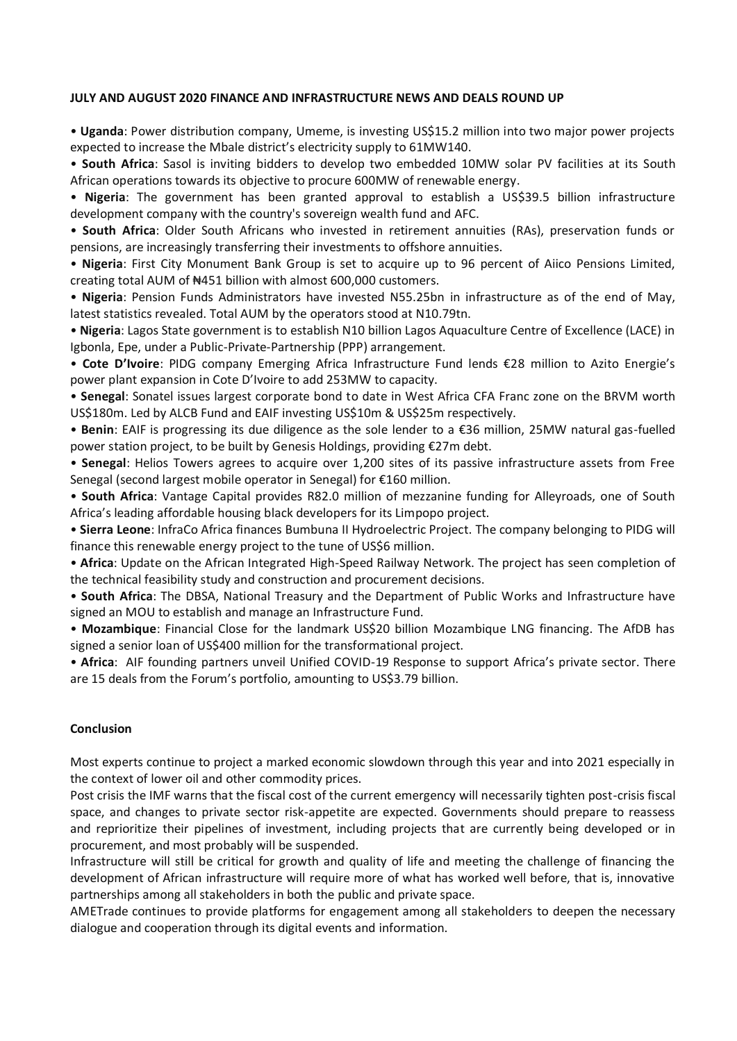#### **JULY AND AUGUST 2020 FINANCE AND INFRASTRUCTURE NEWS AND DEALS ROUND UP**

• **Uganda**: Power distribution company, Umeme, is investing US\$15.2 million into two major power projects expected to increase the Mbale district's electricity supply to 61MW140.

• **South Africa**: Sasol is inviting bidders to develop two embedded 10MW solar PV facilities at its South African operations towards its objective to procure 600MW of renewable energy.

• **Nigeria**: The government has been granted approval to establish a US\$39.5 billion infrastructure development company with the country's sovereign wealth fund and AFC.

• **South Africa**: Older South Africans who invested in retirement annuities (RAs), preservation funds or pensions, are increasingly transferring their investments to offshore annuities.

• **Nigeria**: First City Monument Bank Group is set to acquire up to 96 percent of Aiico Pensions Limited, creating total AUM of ₦451 billion with almost 600,000 customers.

• **Nigeria**: Pension Funds Administrators have invested N55.25bn in infrastructure as of the end of May, latest statistics revealed. Total AUM by the operators stood at N10.79tn.

• **Nigeria**: Lagos State government is to establish N10 billion Lagos Aquaculture Centre of Excellence (LACE) in Igbonla, Epe, under a Public-Private-Partnership (PPP) arrangement.

• **Cote D'Ivoire**: PIDG company Emerging Africa Infrastructure Fund lends €28 million to Azito Energie's power plant expansion in Cote D'Ivoire to add 253MW to capacity.

• **Senegal**: Sonatel issues largest corporate bond to date in West Africa CFA Franc zone on the BRVM worth US\$180m. Led by ALCB Fund and EAIF investing US\$10m & US\$25m respectively.

• **Benin**: EAIF is progressing its due diligence as the sole lender to a €36 million, 25MW natural gas-fuelled power station project, to be built by Genesis Holdings, providing €27m debt.

• **Senegal**: Helios Towers agrees to acquire over 1,200 sites of its passive infrastructure assets from Free Senegal (second largest mobile operator in Senegal) for €160 million.

• **South Africa**: Vantage Capital provides R82.0 million of mezzanine funding for Alleyroads, one of South Africa's leading affordable housing black developers for its Limpopo project.

• **Sierra Leone**: InfraCo Africa finances Bumbuna II Hydroelectric Project. The company belonging to PIDG will finance this renewable energy project to the tune of US\$6 million.

• **Africa**: Update on the African Integrated High-Speed Railway Network. The project has seen completion of the technical feasibility study and construction and procurement decisions.

• **South Africa**: The DBSA, National Treasury and the Department of Public Works and Infrastructure have signed an MOU to establish and manage an Infrastructure Fund.

• **Mozambique**: Financial Close for the landmark US\$20 billion Mozambique LNG financing. The AfDB has signed a senior loan of US\$400 million for the transformational project.

• **Africa**: AIF founding partners unveil Unified COVID-19 Response to support Africa's private sector. There are 15 deals from the Forum's portfolio, amounting to US\$3.79 billion.

#### **Conclusion**

Most experts continue to project a marked economic slowdown through this year and into 2021 especially in the context of lower oil and other commodity prices.

Post crisis the IMF warns that the fiscal cost of the current emergency will necessarily tighten post-crisis fiscal space, and changes to private sector risk-appetite are expected. Governments should prepare to reassess and reprioritize their pipelines of investment, including projects that are currently being developed or in procurement, and most probably will be suspended.

Infrastructure will still be critical for growth and quality of life and meeting the challenge of financing the development of African infrastructure will require more of what has worked well before, that is, innovative partnerships among all stakeholders in both the public and private space.

AMETrade continues to provide platforms for engagement among all stakeholders to deepen the necessary dialogue and cooperation through its digital events and information.